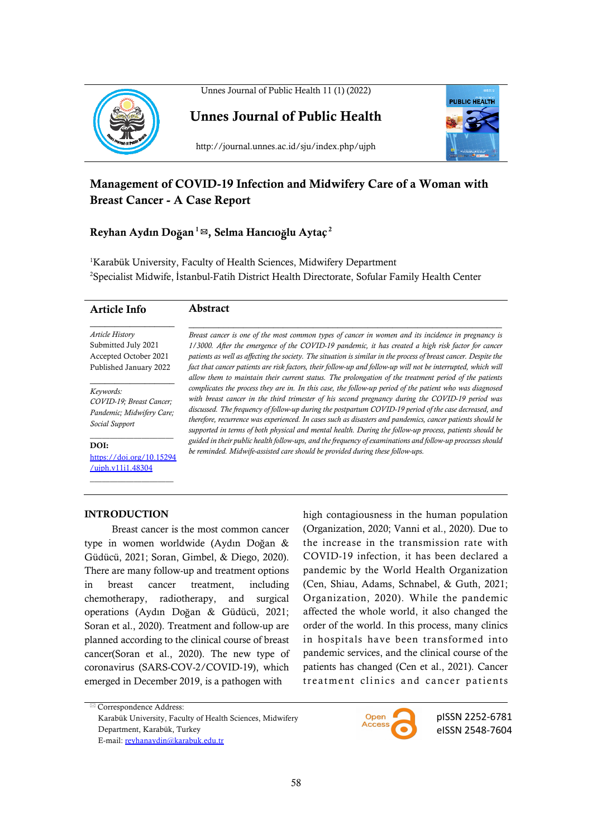



Unnes Journal of Public Health



http://journal.unnes.ac.id/sju/index.php/ujph

# Management of COVID-19 Infection and Midwifery Care of a Woman with Breast Cancer - A Case Report

## Reyhan Aydın Do**ğ**an <sup>1</sup> \*, Selma Hancıo**ğ**lu Aytaç <sup>2</sup>

<sup>1</sup>Karabük University, Faculty of Health Sciences, Midwifery Department 2 Specialist Midwife, İstanbul-Fatih District Health Directorate, Sofular Family Health Center

|                                                                                                  | Breast cancer is one of the most common types of cancer in women and its incidence in pregnancy is                                                                                                                                                                                                                                                                                                                                                                                                                                              |
|--------------------------------------------------------------------------------------------------|-------------------------------------------------------------------------------------------------------------------------------------------------------------------------------------------------------------------------------------------------------------------------------------------------------------------------------------------------------------------------------------------------------------------------------------------------------------------------------------------------------------------------------------------------|
| <i>Article History</i><br>Submitted July 2021<br>Accepted October 2021<br>Published January 2022 | 1/3000. After the emergence of the COVID-19 pandemic, it has created a high risk factor for cancer<br>patients as well as affecting the society. The situation is similar in the process of breast cancer. Despite the<br>fact that cancer patients are risk factors, their follow-up and follow-up will not be interrupted, which will<br>allow them to maintain their current status. The prolongation of the treatment period of the patients                                                                                                |
| Keywords:<br>COVID-19; Breast Cancer;<br>Pandemic; Midwifery Care;<br>Social Support             | complicates the process they are in. In this case, the follow-up period of the patient who was diagnosed<br>with breast cancer in the third trimester of his second pregnancy during the COVID-19 period was<br>discussed. The frequency of follow-up during the postpartum COVID-19 period of the case decreased, and<br>therefore, recurrence was experienced. In cases such as disasters and pandemics, cancer patients should be<br>supported in terms of both physical and mental health. During the follow-up process, patients should be |
| DOI:<br>https://doi.org/10.15294<br>/uiph.y11i1.48304                                            | guided in their public health follow-ups, and the frequency of examinations and follow-up processes should<br>be reminded. Midwife-assisted care should be provided during these follow-ups.                                                                                                                                                                                                                                                                                                                                                    |

### INTRODUCTION

Breast cancer is the most common cancer type in women worldwide (Aydın Doğan & Güdücü, 2021; Soran, Gimbel, & Diego, 2020). There are many follow-up and treatment options in breast cancer treatment, including chemotherapy, radiotherapy, and surgical operations (Aydın Doğan & Güdücü, 2021; Soran et al., 2020). Treatment and follow-up are planned according to the clinical course of breast cancer(Soran et al., 2020). The new type of coronavirus (SARS-COV-2/COVID-19), which emerged in December 2019, is a pathogen with

high contagiousness in the human population (Organization, 2020; Vanni et al., 2020). Due to the increase in the transmission rate with COVID-19 infection, it has been declared a pandemic by the World Health Organization (Cen, Shiau, Adams, Schnabel, & Guth, 2021; Organization, 2020). While the pandemic affected the whole world, it also changed the order of the world. In this process, many clinics in hospitals have been transformed into pandemic services, and the clinical course of the patients has changed (Cen et al., 2021). Cancer treatment clinics and cancer patients

 $^{\boxtimes}$  Correspondence Address: Karabük University, Faculty of Health Sciences, Midwifery Department, Karabük, Turkey E-mail: reyhanaydin@karabuk.edu.tr



pISSN 2252-6781 eISSN 2548-7604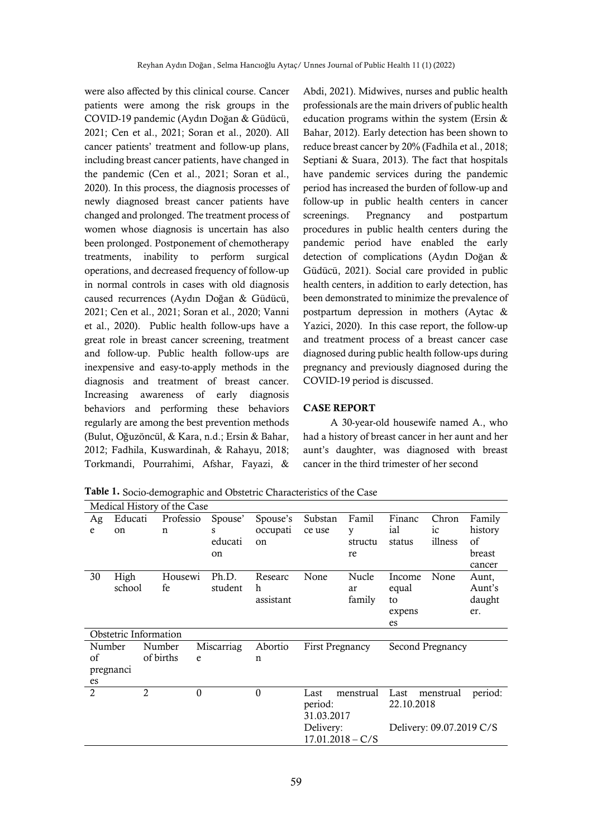were also affected by this clinical course. Cancer patients were among the risk groups in the COVID-19 pandemic (Aydın Doğan & Güdücü, 2021; Cen et al., 2021; Soran et al., 2020). All cancer patients' treatment and follow-up plans, including breast cancer patients, have changed in the pandemic (Cen et al., 2021; Soran et al., 2020). In this process, the diagnosis processes of newly diagnosed breast cancer patients have changed and prolonged. The treatment process of women whose diagnosis is uncertain has also been prolonged. Postponement of chemotherapy treatments, inability to perform surgical operations, and decreased frequency of follow-up in normal controls in cases with old diagnosis caused recurrences (Aydın Doğan & Güdücü, 2021; Cen et al., 2021; Soran et al., 2020; Vanni et al., 2020). Public health follow-ups have a great role in breast cancer screening, treatment and follow-up. Public health follow-ups are inexpensive and easy-to-apply methods in the diagnosis and treatment of breast cancer. Increasing awareness of early diagnosis behaviors and performing these behaviors regularly are among the best prevention methods (Bulut, Oğuzöncül, & Kara, n.d.; Ersin & Bahar, 2012; Fadhila, Kuswardinah, & Rahayu, 2018; Torkmandi, Pourrahimi, Afshar, Fayazi, &

Abdi, 2021). Midwives, nurses and public health professionals are the main drivers of public health education programs within the system (Ersin & Bahar, 2012). Early detection has been shown to reduce breast cancer by 20% (Fadhila et al., 2018; Septiani & Suara, 2013). The fact that hospitals have pandemic services during the pandemic period has increased the burden of follow-up and follow-up in public health centers in cancer screenings. Pregnancy and postpartum procedures in public health centers during the pandemic period have enabled the early detection of complications (Aydın Doğan & Güdücü, 2021). Social care provided in public health centers, in addition to early detection, has been demonstrated to minimize the prevalence of postpartum depression in mothers (Aytac & Yazici, 2020). In this case report, the follow-up and treatment process of a breast cancer case diagnosed during public health follow-ups during pregnancy and previously diagnosed during the COVID-19 period is discussed.

#### CASE REPORT

A 30-year-old housewife named A., who had a history of breast cancer in her aunt and her aunt's daughter, was diagnosed with breast cancer in the third trimester of her second

Table 1. Socio-demographic and Obstetric Characteristics of the Case

|                       | Medical History of the Case |                |           |            |         |           |                        |           |            |                          |         |
|-----------------------|-----------------------------|----------------|-----------|------------|---------|-----------|------------------------|-----------|------------|--------------------------|---------|
| Ag                    | Educati                     |                | Professio |            | Spouse' | Spouse's  | Substan                | Famil     | Financ     | Chron                    | Family  |
| e                     | on                          |                | n         |            | s       | occupati  | ce use                 | y         | ial        | ic                       | history |
|                       |                             |                |           |            | educati | on        |                        | structu   | status     | illness                  | of      |
|                       |                             |                |           |            | on      |           |                        | re        |            |                          | breast  |
|                       |                             |                |           |            |         |           |                        |           |            |                          | cancer  |
| 30                    | High                        |                | Housewi   |            | Ph.D.   | Researc   | None                   | Nucle     | Income     | None                     | Aunt,   |
|                       | school                      |                | fe        |            | student | h         |                        | ar        | equal      |                          | Aunt's  |
|                       |                             |                |           |            |         | assistant |                        | family    | to         |                          | daught  |
|                       |                             |                |           |            |         |           |                        |           | expens     |                          | er.     |
|                       |                             |                |           |            |         |           |                        |           | es         |                          |         |
| Obstetric Information |                             |                |           |            |         |           |                        |           |            |                          |         |
|                       | Number<br>Number            |                |           | Miscarriag |         | Abortio   | <b>First Pregnancy</b> |           |            | Second Pregnancy         |         |
| of                    |                             |                | of births | e          |         | n         |                        |           |            |                          |         |
|                       | pregnanci                   |                |           |            |         |           |                        |           |            |                          |         |
| es                    |                             |                |           |            |         |           |                        |           |            |                          |         |
| $\overline{2}$        |                             | $\overline{2}$ |           | $\theta$   |         | $\Omega$  | Last                   | menstrual | Last       | menstrual                | period: |
|                       |                             |                |           |            |         |           | period:                |           | 22.10.2018 |                          |         |
|                       |                             |                |           |            |         |           | 31.03.2017             |           |            |                          |         |
|                       |                             |                |           |            |         |           | Delivery:              |           |            | Delivery: 09.07.2019 C/S |         |
|                       |                             |                |           |            |         |           | $17.01.2018 - C/S$     |           |            |                          |         |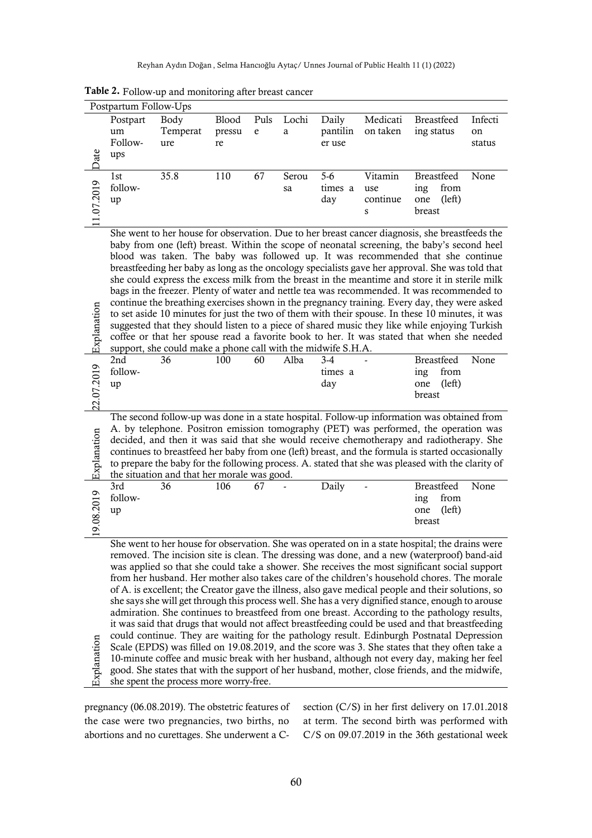Reyhan Aydın Doğan , Selma Hancıoğlu Aytaç/ Unnes Journal of Public Health 11 (1) (2022)

| Postpartum Follow-Ups                 |                                                                                                                                                                                                                                                                                                                                                                                                                                                                                                                                                                                                                                                                                                                                                                                                                                                                                                                                                                                                                                                                                                                                                                                                                                                                                                                                                                                                                                                                                                                                                                                                                                                                                                                                             |                         |                       |                                   |             |                             |                                 |                                                             |                         |
|---------------------------------------|---------------------------------------------------------------------------------------------------------------------------------------------------------------------------------------------------------------------------------------------------------------------------------------------------------------------------------------------------------------------------------------------------------------------------------------------------------------------------------------------------------------------------------------------------------------------------------------------------------------------------------------------------------------------------------------------------------------------------------------------------------------------------------------------------------------------------------------------------------------------------------------------------------------------------------------------------------------------------------------------------------------------------------------------------------------------------------------------------------------------------------------------------------------------------------------------------------------------------------------------------------------------------------------------------------------------------------------------------------------------------------------------------------------------------------------------------------------------------------------------------------------------------------------------------------------------------------------------------------------------------------------------------------------------------------------------------------------------------------------------|-------------------------|-----------------------|-----------------------------------|-------------|-----------------------------|---------------------------------|-------------------------------------------------------------|-------------------------|
| Date                                  | Postpart<br>um<br>Follow-<br>ups                                                                                                                                                                                                                                                                                                                                                                                                                                                                                                                                                                                                                                                                                                                                                                                                                                                                                                                                                                                                                                                                                                                                                                                                                                                                                                                                                                                                                                                                                                                                                                                                                                                                                                            | Body<br>Temperat<br>ure | Blood<br>pressu<br>re | Puls<br>$\mathop{\rm e}\nolimits$ | Lochi<br>a  | Daily<br>pantilin<br>er use | Medicati<br>on taken            | Breastfeed<br>ing status                                    | Infecti<br>on<br>status |
| 11.07.2019                            | 1st<br>follow-<br>up                                                                                                                                                                                                                                                                                                                                                                                                                                                                                                                                                                                                                                                                                                                                                                                                                                                                                                                                                                                                                                                                                                                                                                                                                                                                                                                                                                                                                                                                                                                                                                                                                                                                                                                        | 35.8                    | 110                   | 67                                | Serou<br>sa | $5-6$<br>times a<br>day     | Vitamin<br>use<br>continue<br>s | <b>Breastfeed</b><br>from<br>ing<br>(left)<br>one<br>breast | None                    |
| 22.07.2019 Explanation<br>Explanation | She went to her house for observation. Due to her breast cancer diagnosis, she breastfeeds the<br>baby from one (left) breast. Within the scope of neonatal screening, the baby's second heel<br>blood was taken. The baby was followed up. It was recommended that she continue<br>breastfeeding her baby as long as the oncology specialists gave her approval. She was told that<br>she could express the excess milk from the breast in the meantime and store it in sterile milk<br>bags in the freezer. Plenty of water and nettle tea was recommended. It was recommended to<br>continue the breathing exercises shown in the pregnancy training. Every day, they were asked<br>to set aside 10 minutes for just the two of them with their spouse. In these 10 minutes, it was<br>suggested that they should listen to a piece of shared music they like while enjoying Turkish<br>coffee or that her spouse read a favorite book to her. It was stated that when she needed<br>support, she could make a phone call with the midwife S.H.A.<br>Breastfeed<br>2nd<br>100<br>60<br>Alba<br>None<br>36<br>$3-4$<br>follow-<br>times a<br>from<br>ing<br>day<br>(left)<br>one<br>up<br>breast<br>The second follow-up was done in a state hospital. Follow-up information was obtained from<br>A. by telephone. Positron emission tomography (PET) was performed, the operation was<br>decided, and then it was said that she would receive chemotherapy and radiotherapy. She<br>continues to breastfeed her baby from one (left) breast, and the formula is started occasionally<br>to prepare the baby for the following process. A. stated that she was pleased with the clarity of<br>the situation and that her morale was good. |                         |                       |                                   |             |                             |                                 |                                                             |                         |
| 19.08.2019                            | 3rd<br>follow-<br>up                                                                                                                                                                                                                                                                                                                                                                                                                                                                                                                                                                                                                                                                                                                                                                                                                                                                                                                                                                                                                                                                                                                                                                                                                                                                                                                                                                                                                                                                                                                                                                                                                                                                                                                        | 36                      | 106                   | 67                                |             | Daily                       |                                 | <b>Breastfeed</b><br>from<br>ing<br>(left)<br>one<br>breast | None                    |
| Explanation                           | She went to her house for observation. She was operated on in a state hospital; the drains were<br>removed. The incision site is clean. The dressing was done, and a new (waterproof) band-aid<br>was applied so that she could take a shower. She receives the most significant social support<br>from her husband. Her mother also takes care of the children's household chores. The morale<br>of A. is excellent; the Creator gave the illness, also gave medical people and their solutions, so<br>she says she will get through this process well. She has a very dignified stance, enough to arouse<br>admiration. She continues to breastfeed from one breast. According to the pathology results,<br>it was said that drugs that would not affect breastfeeding could be used and that breastfeeding<br>could continue. They are waiting for the pathology result. Edinburgh Postnatal Depression<br>Scale (EPDS) was filled on 19.08.2019, and the score was 3. She states that they often take a<br>10-minute coffee and music break with her husband, although not every day, making her feel<br>good. She states that with the support of her husband, mother, close friends, and the midwife,<br>she spent the process more worry-free.                                                                                                                                                                                                                                                                                                                                                                                                                                                                                       |                         |                       |                                   |             |                             |                                 |                                                             |                         |

Table 2. Follow-up and monitoring after breast cancer

pregnancy (06.08.2019). The obstetric features of the case were two pregnancies, two births, no abortions and no curettages. She underwent a C-

section (C/S) in her first delivery on 17.01.2018 at term. The second birth was performed with C/S on 09.07.2019 in the 36th gestational week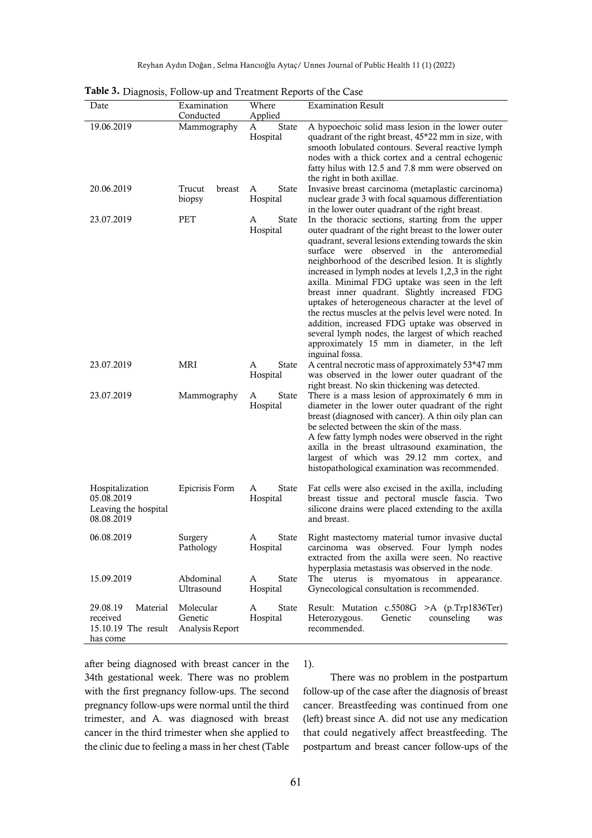| <b>rasive:</b> Diagnosis, I onow-up and Treatment Kepolis of the Case |                                         |                               |                                                                                                                                                                                                                                                                                                                                                                                                                                                                                                                                                                                                                                                                                                                               |  |  |  |  |
|-----------------------------------------------------------------------|-----------------------------------------|-------------------------------|-------------------------------------------------------------------------------------------------------------------------------------------------------------------------------------------------------------------------------------------------------------------------------------------------------------------------------------------------------------------------------------------------------------------------------------------------------------------------------------------------------------------------------------------------------------------------------------------------------------------------------------------------------------------------------------------------------------------------------|--|--|--|--|
| Date                                                                  | Examination<br>Conducted                | Where<br>Applied              | <b>Examination Result</b>                                                                                                                                                                                                                                                                                                                                                                                                                                                                                                                                                                                                                                                                                                     |  |  |  |  |
| 19.06.2019                                                            | Mammography                             | <b>State</b><br>A<br>Hospital | A hypoechoic solid mass lesion in the lower outer<br>quadrant of the right breast, 45*22 mm in size, with<br>smooth lobulated contours. Several reactive lymph<br>nodes with a thick cortex and a central echogenic<br>fatty hilus with 12.5 and 7.8 mm were observed on<br>the right in both axillae.                                                                                                                                                                                                                                                                                                                                                                                                                        |  |  |  |  |
| 20.06.2019                                                            | Trucut<br>breast<br>biopsy              | <b>State</b><br>A<br>Hospital | Invasive breast carcinoma (metaplastic carcinoma)<br>nuclear grade 3 with focal squamous differentiation<br>in the lower outer quadrant of the right breast.                                                                                                                                                                                                                                                                                                                                                                                                                                                                                                                                                                  |  |  |  |  |
| 23.07.2019                                                            | PET                                     | State<br>A<br>Hospital        | In the thoracic sections, starting from the upper<br>outer quadrant of the right breast to the lower outer<br>quadrant, several lesions extending towards the skin<br>surface were observed in the anteromedial<br>neighborhood of the described lesion. It is slightly<br>increased in lymph nodes at levels 1,2,3 in the right<br>axilla. Minimal FDG uptake was seen in the left<br>breast inner quadrant. Slightly increased FDG<br>uptakes of heterogeneous character at the level of<br>the rectus muscles at the pelvis level were noted. In<br>addition, increased FDG uptake was observed in<br>several lymph nodes, the largest of which reached<br>approximately 15 mm in diameter, in the left<br>inguinal fossa. |  |  |  |  |
| 23.07.2019                                                            | MRI                                     | <b>State</b><br>A<br>Hospital | A central necrotic mass of approximately 53*47 mm<br>was observed in the lower outer quadrant of the<br>right breast. No skin thickening was detected.                                                                                                                                                                                                                                                                                                                                                                                                                                                                                                                                                                        |  |  |  |  |
| 23.07.2019                                                            | Mammography                             | <b>State</b><br>A<br>Hospital | There is a mass lesion of approximately 6 mm in<br>diameter in the lower outer quadrant of the right<br>breast (diagnosed with cancer). A thin oily plan can<br>be selected between the skin of the mass.<br>A few fatty lymph nodes were observed in the right<br>axilla in the breast ultrasound examination, the<br>largest of which was 29.12 mm cortex, and<br>histopathological examination was recommended.                                                                                                                                                                                                                                                                                                            |  |  |  |  |
| Hospitalization<br>05.08.2019<br>Leaving the hospital<br>08.08.2019   | Epicrisis Form                          | A<br><b>State</b><br>Hospital | Fat cells were also excised in the axilla, including<br>breast tissue and pectoral muscle fascia. Two<br>silicone drains were placed extending to the axilla<br>and breast.                                                                                                                                                                                                                                                                                                                                                                                                                                                                                                                                                   |  |  |  |  |
| 06.08.2019                                                            | Surgery<br>Pathology                    | <b>State</b><br>Α<br>Hospital | Right mastectomy material tumor invasive ductal<br>carcinoma was observed. Four lymph nodes<br>extracted from the axilla were seen. No reactive<br>hyperplasia metastasis was observed in the node.                                                                                                                                                                                                                                                                                                                                                                                                                                                                                                                           |  |  |  |  |
| 15.09.2019                                                            | Abdominal<br>Ultrasound                 | A<br>State<br>Hospital        | The uterus<br>is<br>myomatous<br>in<br>appearance.<br>Gynecological consultation is recommended.                                                                                                                                                                                                                                                                                                                                                                                                                                                                                                                                                                                                                              |  |  |  |  |
| 29.08.19<br>Material<br>received<br>15.10.19 The result<br>has come   | Molecular<br>Genetic<br>Analysis Report | A<br><b>State</b><br>Hospital | Result: Mutation c.5508G >A (p.Trp1836Ter)<br>Heterozygous.<br>Genetic<br>counseling<br>was<br>recommended.                                                                                                                                                                                                                                                                                                                                                                                                                                                                                                                                                                                                                   |  |  |  |  |

Reyhan Aydın Doğan , Selma Hancıoğlu Aytaç/ Unnes Journal of Public Health 11 (1) (2022)

| Table 3. Diagnosis, Follow-up and Treatment Reports of the Case |  |  |  |  |  |  |
|-----------------------------------------------------------------|--|--|--|--|--|--|
|-----------------------------------------------------------------|--|--|--|--|--|--|

after being diagnosed with breast cancer in the 34th gestational week. There was no problem with the first pregnancy follow-ups. The second pregnancy follow-ups were normal until the third trimester, and A. was diagnosed with breast cancer in the third trimester when she applied to the clinic due to feeling a mass in her chest (Table 1).

There was no problem in the postpartum follow-up of the case after the diagnosis of breast cancer. Breastfeeding was continued from one (left) breast since A. did not use any medication that could negatively affect breastfeeding. The postpartum and breast cancer follow-ups of the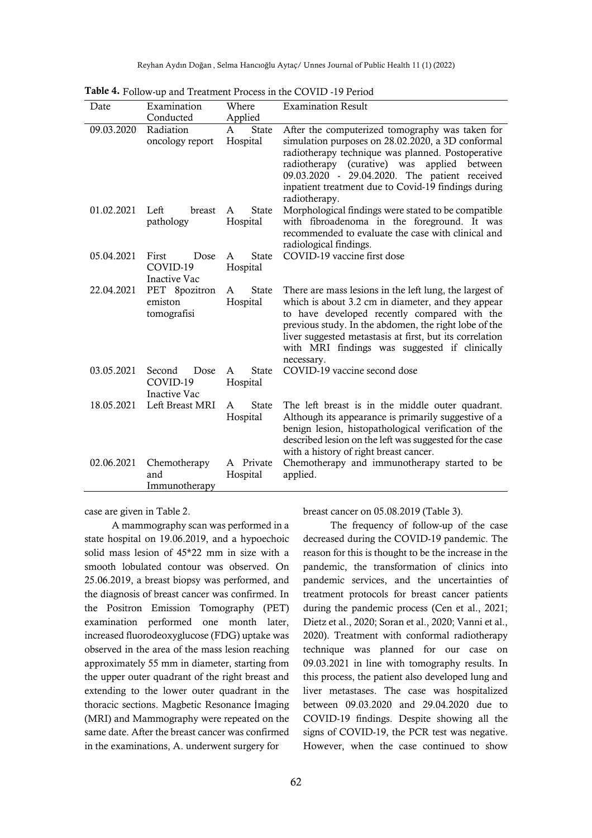Reyhan Aydın Doğan , Selma Hancıoğlu Aytaç/ Unnes Journal of Public Health 11 (1) (2022)

| Date       | Examination                                       | Where                                    | <b>Examination Result</b>                                                                                                                                                                                                                                                                                                                         |
|------------|---------------------------------------------------|------------------------------------------|---------------------------------------------------------------------------------------------------------------------------------------------------------------------------------------------------------------------------------------------------------------------------------------------------------------------------------------------------|
|            | Conducted                                         | Applied                                  |                                                                                                                                                                                                                                                                                                                                                   |
| 09.03.2020 | Radiation<br>oncology report                      | <b>State</b><br>$\mathsf{A}$<br>Hospital | After the computerized tomography was taken for<br>simulation purposes on 28.02.2020, a 3D conformal<br>radiotherapy technique was planned. Postoperative<br>(curative) was<br>radiotherapy<br>applied<br>between<br>09.03.2020 - 29.04.2020. The patient received<br>inpatient treatment due to Covid-19 findings during<br>radiotherapy.        |
| 01.02.2021 | Left<br>breast<br>pathology                       | <b>State</b><br>A<br>Hospital            | Morphological findings were stated to be compatible<br>with fibroadenoma in the foreground. It was<br>recommended to evaluate the case with clinical and<br>radiological findings.                                                                                                                                                                |
| 05.04.2021 | First<br>Dose<br>COVID-19<br><b>Inactive Vac</b>  | <b>State</b><br>A<br>Hospital            | COVID-19 vaccine first dose                                                                                                                                                                                                                                                                                                                       |
| 22.04.2021 | PET 8pozitron<br>emiston<br>tomografisi           | <b>State</b><br>A<br>Hospital            | There are mass lesions in the left lung, the largest of<br>which is about 3.2 cm in diameter, and they appear<br>to have developed recently compared with the<br>previous study. In the abdomen, the right lobe of the<br>liver suggested metastasis at first, but its correlation<br>with MRI findings was suggested if clinically<br>necessary. |
| 03.05.2021 | Dose<br>Second<br>COVID-19<br><b>Inactive Vac</b> | <b>State</b><br>A<br>Hospital            | COVID-19 vaccine second dose                                                                                                                                                                                                                                                                                                                      |
| 18.05.2021 | Left Breast MRI                                   | <b>State</b><br>A<br>Hospital            | The left breast is in the middle outer quadrant.<br>Although its appearance is primarily suggestive of a<br>benign lesion, histopathological verification of the<br>described lesion on the left was suggested for the case<br>with a history of right breast cancer.                                                                             |
| 02.06.2021 | Chemotherapy<br>and<br>Immunotherapy              | A Private<br>Hospital                    | Chemotherapy and immunotherapy started to be<br>applied.                                                                                                                                                                                                                                                                                          |

Table 4. Follow-up and Treatment Process in the COVID -19 Period

case are given in Table 2.

A mammography scan was performed in a state hospital on 19.06.2019, and a hypoechoic solid mass lesion of 45\*22 mm in size with a smooth lobulated contour was observed. On 25.06.2019, a breast biopsy was performed, and the diagnosis of breast cancer was confirmed. In the Positron Emission Tomography (PET) examination performed one month later, increased fluorodeoxyglucose (FDG) uptake was observed in the area of the mass lesion reaching approximately 55 mm in diameter, starting from the upper outer quadrant of the right breast and extending to the lower outer quadrant in the thoracic sections. Magbetic Resonance İmaging (MRI) and Mammography were repeated on the same date. After the breast cancer was confirmed in the examinations, A. underwent surgery for

breast cancer on 05.08.2019 (Table 3).

The frequency of follow-up of the case decreased during the COVID-19 pandemic. The reason for this is thought to be the increase in the pandemic, the transformation of clinics into pandemic services, and the uncertainties of treatment protocols for breast cancer patients during the pandemic process (Cen et al., 2021; Dietz et al., 2020; Soran et al., 2020; Vanni et al., 2020). Treatment with conformal radiotherapy technique was planned for our case on 09.03.2021 in line with tomography results. In this process, the patient also developed lung and liver metastases. The case was hospitalized between 09.03.2020 and 29.04.2020 due to COVID-19 findings. Despite showing all the signs of COVID-19, the PCR test was negative. However, when the case continued to show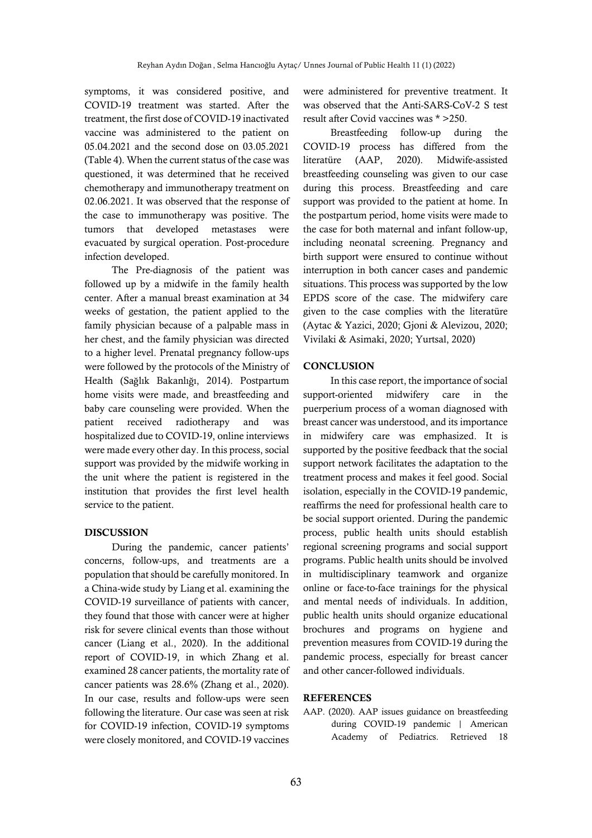symptoms, it was considered positive, and COVID-19 treatment was started. After the treatment, the first dose of COVID-19 inactivated vaccine was administered to the patient on 05.04.2021 and the second dose on 03.05.2021 (Table 4). When the current status of the case was questioned, it was determined that he received chemotherapy and immunotherapy treatment on 02.06.2021. It was observed that the response of the case to immunotherapy was positive. The tumors that developed metastases were evacuated by surgical operation. Post-procedure infection developed.

The Pre-diagnosis of the patient was followed up by a midwife in the family health center. After a manual breast examination at 34 weeks of gestation, the patient applied to the family physician because of a palpable mass in her chest, and the family physician was directed to a higher level. Prenatal pregnancy follow-ups were followed by the protocols of the Ministry of Health (Sağlık Bakanlığı, 2014). Postpartum home visits were made, and breastfeeding and baby care counseling were provided. When the patient received radiotherapy and was hospitalized due to COVID-19, online interviews were made every other day. In this process, social support was provided by the midwife working in the unit where the patient is registered in the institution that provides the first level health service to the patient.

#### DISCUSSION

During the pandemic, cancer patients' concerns, follow-ups, and treatments are a population that should be carefully monitored. In a China-wide study by Liang et al. examining the COVID-19 surveillance of patients with cancer, they found that those with cancer were at higher risk for severe clinical events than those without cancer (Liang et al., 2020). In the additional report of COVID-19, in which Zhang et al. examined 28 cancer patients, the mortality rate of cancer patients was 28.6% (Zhang et al., 2020). In our case, results and follow-ups were seen following the literature. Our case was seen at risk for COVID-19 infection, COVID-19 symptoms were closely monitored, and COVID-19 vaccines

were administered for preventive treatment. It was observed that the Anti-SARS-CoV-2 S test result after Covid vaccines was \* >250.

Breastfeeding follow-up during the COVID-19 process has differed from the literatüre (AAP, 2020). Midwife-assisted breastfeeding counseling was given to our case during this process. Breastfeeding and care support was provided to the patient at home. In the postpartum period, home visits were made to the case for both maternal and infant follow-up, including neonatal screening. Pregnancy and birth support were ensured to continue without interruption in both cancer cases and pandemic situations. This process was supported by the low EPDS score of the case. The midwifery care given to the case complies with the literatüre (Aytac & Yazici, 2020; Gjoni & Alevizou, 2020; Vivilaki & Asimaki, 2020; Yurtsal, 2020)

#### **CONCLUSION**

In this case report, the importance of social support-oriented midwifery care in the puerperium process of a woman diagnosed with breast cancer was understood, and its importance in midwifery care was emphasized. It is supported by the positive feedback that the social support network facilitates the adaptation to the treatment process and makes it feel good. Social isolation, especially in the COVID-19 pandemic, reaffirms the need for professional health care to be social support oriented. During the pandemic process, public health units should establish regional screening programs and social support programs. Public health units should be involved in multidisciplinary teamwork and organize online or face-to-face trainings for the physical and mental needs of individuals. In addition, public health units should organize educational brochures and programs on hygiene and prevention measures from COVID-19 during the pandemic process, especially for breast cancer and other cancer-followed individuals.

#### REFERENCES

AAP. (2020). AAP issues guidance on breastfeeding during COVID-19 pandemic | American Academy of Pediatrics. Retrieved 18